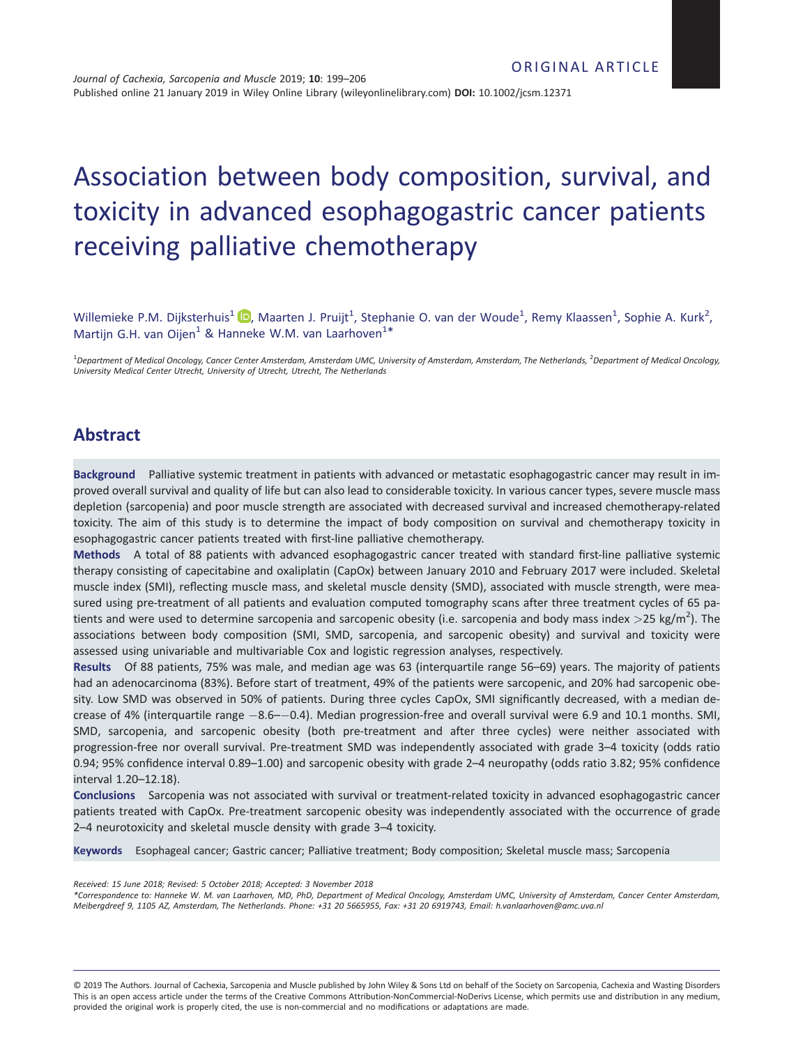# Association between body composition, survival, and toxicity in advanced esophagogastric cancer patients receiving palliative chemotherapy

Willemieke P.M. Dijksterhuis<sup>1</sup> D[,](https://orcid.org/0000-0002-3516-6743) Maarten J. Pruijt<sup>1</sup>, Stephanie O. van der Woude<sup>1</sup>, Remy Klaassen<sup>1</sup>, Sophie A. Kurk<sup>2</sup>, Martijn G.H. van Oijen<sup>1</sup> & Hanneke W.M. van Laarhoven<sup>1\*</sup>

1 *Department of Medical Oncology, Cancer Center Amsterdam, Amsterdam UMC, University of Amsterdam, Amsterdam, The Netherlands,* <sup>2</sup> *Department of Medical Oncology, University Medical Center Utrecht, University of Utrecht, Utrecht, The Netherlands*

# **Abstract**

**Background** Palliative systemic treatment in patients with advanced or metastatic esophagogastric cancer may result in improved overall survival and quality of life but can also lead to considerable toxicity. In various cancer types, severe muscle mass depletion (sarcopenia) and poor muscle strength are associated with decreased survival and increased chemotherapy-related toxicity. The aim of this study is to determine the impact of body composition on survival and chemotherapy toxicity in esophagogastric cancer patients treated with first-line palliative chemotherapy.

**Methods** A total of 88 patients with advanced esophagogastric cancer treated with standard first-line palliative systemic therapy consisting of capecitabine and oxaliplatin (CapOx) between January 2010 and February 2017 were included. Skeletal muscle index (SMI), reflecting muscle mass, and skeletal muscle density (SMD), associated with muscle strength, were measured using pre-treatment of all patients and evaluation computed tomography scans after three treatment cycles of 65 patients and were used to determine sarcopenia and sarcopenic obesity (i.e. sarcopenia and body mass index *>*25 kg/m<sup>2</sup> ). The associations between body composition (SMI, SMD, sarcopenia, and sarcopenic obesity) and survival and toxicity were assessed using univariable and multivariable Cox and logistic regression analyses, respectively.

**Results** Of 88 patients, 75% was male, and median age was 63 (interquartile range 56–69) years. The majority of patients had an adenocarcinoma (83%). Before start of treatment, 49% of the patients were sarcopenic, and 20% had sarcopenic obesity. Low SMD was observed in 50% of patients. During three cycles CapOx, SMI significantly decreased, with a median decrease of 4% (interquartile range  $-8.6$ – $-0.4$ ). Median progression-free and overall survival were 6.9 and 10.1 months. SMI, SMD, sarcopenia, and sarcopenic obesity (both pre-treatment and after three cycles) were neither associated with progression-free nor overall survival. Pre-treatment SMD was independently associated with grade 3–4 toxicity (odds ratio 0.94; 95% confidence interval 0.89–1.00) and sarcopenic obesity with grade 2–4 neuropathy (odds ratio 3.82; 95% confidence interval 1.20–12.18).

**Conclusions** Sarcopenia was not associated with survival or treatment-related toxicity in advanced esophagogastric cancer patients treated with CapOx. Pre-treatment sarcopenic obesity was independently associated with the occurrence of grade 2–4 neurotoxicity and skeletal muscle density with grade 3–4 toxicity.

**Keywords** Esophageal cancer; Gastric cancer; Palliative treatment; Body composition; Skeletal muscle mass; Sarcopenia

*Received: 15 June 2018; Revised: 5 October 2018; Accepted: 3 November 2018*

*\*Correspondence to: Hanneke W. M. van Laarhoven, MD, PhD, Department of Medical Oncology, Amsterdam UMC, University of Amsterdam, Cancer Center Amsterdam, Meibergdreef 9, 1105 AZ, Amsterdam, The Netherlands. Phone: +31 20 5665955, Fax: +31 20 6919743, Email: h.vanlaarhoven@amc.uva.nl*

© 2019 The Authors. Journal of Cachexia, Sarcopenia and Muscle published by John Wiley & Sons Ltd on behalf of the Society on Sarcopenia, Cachexia and Wasting Disorders This is an open access article under the terms of the [Creative Commons Attribution-NonCommercial-NoDerivs](http://creativecommons.org/licenses/by-nc-nd/4.0/) License, which permits use and distribution in any medium, provided the original work is properly cited, the use is non-commercial and no modifications or adaptations are made.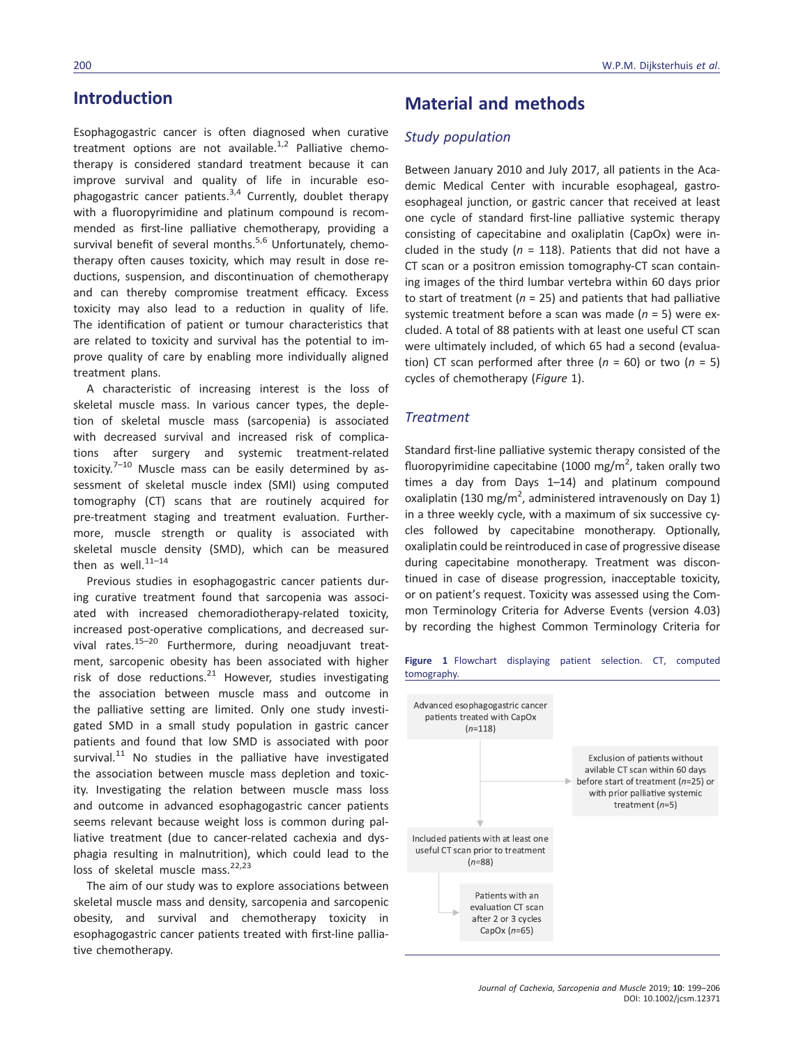# **Introduction**

Esophagogastric cancer is often diagnosed when curative treatment options are not available.<sup>1,2</sup> Palliative chemotherapy is considered standard treatment because it can improve survival and quality of life in incurable esophagogastric cancer patients. $3,4$  Currently, doublet therapy with a fluoropyrimidine and platinum compound is recommended as first-line palliative chemotherapy, providing a survival benefit of several months. $5,6$  Unfortunately, chemotherapy often causes toxicity, which may result in dose reductions, suspension, and discontinuation of chemotherapy and can thereby compromise treatment efficacy. Excess toxicity may also lead to a reduction in quality of life. The identification of patient or tumour characteristics that are related to toxicity and survival has the potential to improve quality of care by enabling more individually aligned treatment plans.

A characteristic of increasing interest is the loss of skeletal muscle mass. In various cancer types, the depletion of skeletal muscle mass (sarcopenia) is associated with decreased survival and increased risk of complications after surgery and systemic treatment-related toxicity. $7-10$  Muscle mass can be easily determined by assessment of skeletal muscle index (SMI) using computed tomography (CT) scans that are routinely acquired for pre-treatment staging and treatment evaluation. Furthermore, muscle strength or quality is associated with skeletal muscle density (SMD), which can be measured then as well. $^{11-14}$ 

Previous studies in esophagogastric cancer patients during curative treatment found that sarcopenia was associated with increased chemoradiotherapy-related toxicity, increased post-operative complications, and decreased survival rates. $15-20$  Furthermore, during neoadjuvant treatment, sarcopenic obesity has been associated with higher risk of dose reductions. $^{21}$  However, studies investigating the association between muscle mass and outcome in the palliative setting are limited. Only one study investigated SMD in a small study population in gastric cancer patients and found that low SMD is associated with poor survival. $^{11}$  No studies in the palliative have investigated the association between muscle mass depletion and toxicity. Investigating the relation between muscle mass loss and outcome in advanced esophagogastric cancer patients seems relevant because weight loss is common during palliative treatment (due to cancer-related cachexia and dysphagia resulting in malnutrition), which could lead to the loss of skeletal muscle mass.<sup>22,23</sup>

The aim of our study was to explore associations between skeletal muscle mass and density, sarcopenia and sarcopenic obesity, and survival and chemotherapy toxicity in esophagogastric cancer patients treated with first-line palliative chemotherapy.

# **Material and methods**

### *Study population*

Between January 2010 and July 2017, all patients in the Academic Medical Center with incurable esophageal, gastroesophageal junction, or gastric cancer that received at least one cycle of standard first-line palliative systemic therapy consisting of capecitabine and oxaliplatin (CapOx) were included in the study ( $n = 118$ ). Patients that did not have a CT scan or a positron emission tomography-CT scan containing images of the third lumbar vertebra within 60 days prior to start of treatment (*n* = 25) and patients that had palliative systemic treatment before a scan was made (*n* = 5) were excluded. A total of 88 patients with at least one useful CT scan were ultimately included, of which 65 had a second (evaluation) CT scan performed after three  $(n = 60)$  or two  $(n = 5)$ cycles of chemotherapy (*Figure* 1).

#### *Treatment*

Standard first-line palliative systemic therapy consisted of the fluoropyrimidine capecitabine (1000 mg/m<sup>2</sup>, taken orally two times a day from Days 1–14) and platinum compound oxaliplatin (130 mg/m<sup>2</sup>, administered intravenously on Day 1) in a three weekly cycle, with a maximum of six successive cycles followed by capecitabine monotherapy. Optionally, oxaliplatin could be reintroduced in case of progressive disease during capecitabine monotherapy. Treatment was discontinued in case of disease progression, inacceptable toxicity, or on patient's request. Toxicity was assessed using the Common Terminology Criteria for Adverse Events (version 4.03) by recording the highest Common Terminology Criteria for



#### *Journal of Cachexia, Sarcopenia and Muscle* 2019; **10**: 199–206 DOI: 10.1002/jcsm.12371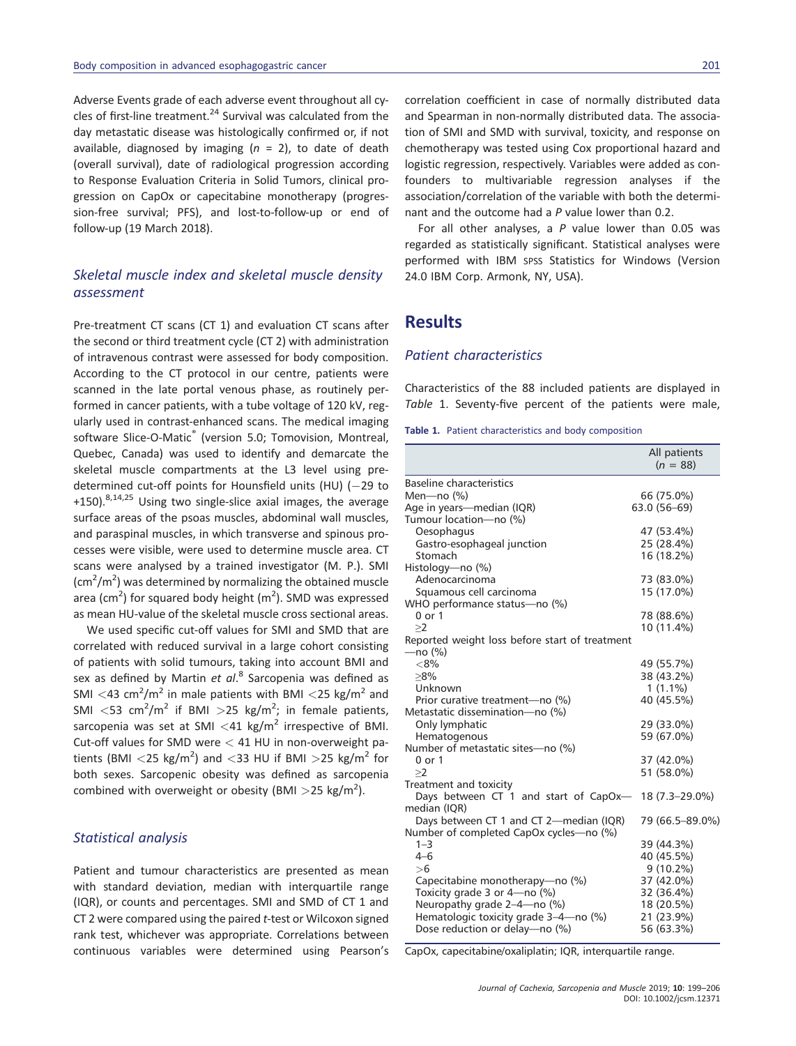Adverse Events grade of each adverse event throughout all cycles of first-line treatment. $^{24}$  Survival was calculated from the day metastatic disease was histologically confirmed or, if not available, diagnosed by imaging (*n* = 2), to date of death (overall survival), date of radiological progression according to Response Evaluation Criteria in Solid Tumors, clinical progression on CapOx or capecitabine monotherapy (progression-free survival; PFS), and lost-to-follow-up or end of follow-up (19 March 2018).

## *Skeletal muscle index and skeletal muscle density assessment*

Pre-treatment CT scans (CT 1) and evaluation CT scans after the second or third treatment cycle (CT 2) with administration of intravenous contrast were assessed for body composition. According to the CT protocol in our centre, patients were scanned in the late portal venous phase, as routinely performed in cancer patients, with a tube voltage of 120 kV, regularly used in contrast-enhanced scans. The medical imaging software Slice-O-Matic<sup>®</sup> (version 5.0; Tomovision, Montreal, Quebec, Canada) was used to identify and demarcate the skeletal muscle compartments at the L3 level using predetermined cut-off points for Hounsfield units (HU)  $(-29$  to +150).<sup>8,14,25</sup> Using two single-slice axial images, the average surface areas of the psoas muscles, abdominal wall muscles, and paraspinal muscles, in which transverse and spinous processes were visible, were used to determine muscle area. CT scans were analysed by a trained investigator (M. P.). SMI  $\rm (cm^2/m^2)$  was determined by normalizing the obtained muscle area (cm<sup>2</sup>) for squared body height (m<sup>2</sup>). SMD was expressed as mean HU-value of the skeletal muscle cross sectional areas.

We used specific cut-off values for SMI and SMD that are correlated with reduced survival in a large cohort consisting of patients with solid tumours, taking into account BMI and sex as defined by Martin *et al*. <sup>8</sup> Sarcopenia was defined as SMI *<*43 cm<sup>2</sup> /m<sup>2</sup> in male patients with BMI *<*25 kg/m<sup>2</sup> and SMI  $\langle$ 53 cm<sup>2</sup>/m<sup>2</sup> if BMI  $>$ 25 kg/m<sup>2</sup>; in female patients, sarcopenia was set at SMI <41 kg/m<sup>2</sup> irrespective of BMI. Cut-off values for SMD were *<* 41 HU in non-overweight patients (BMI *<*25 kg/m<sup>2</sup> ) and *<*33 HU if BMI *>*25 kg/m<sup>2</sup> for both sexes. Sarcopenic obesity was defined as sarcopenia combined with overweight or obesity (BMI >25 kg/m<sup>2</sup>).

## *Statistical analysis*

Patient and tumour characteristics are presented as mean with standard deviation, median with interquartile range (IQR), or counts and percentages. SMI and SMD of CT 1 and CT 2 were compared using the paired *t*-test or Wilcoxon signed rank test, whichever was appropriate. Correlations between continuous variables were determined using Pearson's correlation coefficient in case of normally distributed data and Spearman in non-normally distributed data. The association of SMI and SMD with survival, toxicity, and response on chemotherapy was tested using Cox proportional hazard and logistic regression, respectively. Variables were added as confounders to multivariable regression analyses if the association/correlation of the variable with both the determinant and the outcome had a *P* value lower than 0.2.

For all other analyses, a *P* value lower than 0.05 was regarded as statistically significant. Statistical analyses were performed with IBM SPSS Statistics for Windows (Version 24.0 IBM Corp. Armonk, NY, USA).

# **Results**

#### *Patient characteristics*

Characteristics of the 88 included patients are displayed in *Table* 1. Seventy-five percent of the patients were male,

| Table 1. Patient characteristics and body composition |  |  |  |
|-------------------------------------------------------|--|--|--|
|-------------------------------------------------------|--|--|--|

|                                                | All patients<br>$(n = 88)$ |
|------------------------------------------------|----------------------------|
| <b>Baseline characteristics</b>                |                            |
| Men- $no(%)$                                   | 66 (75.0%)                 |
| Age in years—median (IQR)                      | 63.0 (56-69)               |
| Tumour location-no (%)                         |                            |
| Oesophagus                                     | 47 (53.4%)                 |
| Gastro-esophageal junction                     | 25 (28.4%)                 |
| Stomach                                        | 16 (18.2%)                 |
| Histology—no (%)                               |                            |
| Adenocarcinoma                                 | 73 (83.0%)                 |
| Squamous cell carcinoma                        | 15 (17.0%)                 |
| WHO performance status-no (%)                  |                            |
| $0$ or $1$                                     | 78 (88.6%)                 |
| >2                                             | 10 (11.4%)                 |
| Reported weight loss before start of treatment |                            |
| —no (%)                                        |                            |
| < 8%                                           | 49 (55.7%)                 |
| $>8\%$                                         | 38 (43.2%)                 |
| Unknown                                        | $1(1.1\%)$                 |
| Prior curative treatment—no (%)                | 40 (45.5%)                 |
| Metastatic dissemination-no (%)                |                            |
| Only lymphatic                                 | 29 (33.0%)                 |
| Hematogenous                                   | 59 (67.0%)                 |
| Number of metastatic sites-no (%)              |                            |
| 0 or 1                                         | 37 (42.0%)                 |
| >2                                             | 51 (58.0%)                 |
| Treatment and toxicity                         |                            |
| Days between CT 1 and start of CapOx-          | 18 (7.3-29.0%)             |
| median (IQR)                                   |                            |
| Days between CT 1 and CT 2-median (IQR)        | 79 (66.5-89.0%)            |
| Number of completed CapOx cycles—no (%)        |                            |
| $1 - 3$                                        | 39 (44.3%)                 |
| $4 - 6$                                        | 40 (45.5%)                 |
| > 6                                            | $9(10.2\%)$                |
| Capecitabine monotherapy—no (%)                | 37 (42.0%)                 |
| Toxicity grade 3 or 4-no (%)                   | 32 (36.4%)                 |
| Neuropathy grade 2-4-no (%)                    | 18 (20.5%)                 |
| Hematologic toxicity grade 3-4-no (%)          | 21 (23.9%)                 |
| Dose reduction or delay-no (%)                 | 56 (63.3%)                 |

CapOx, capecitabine/oxaliplatin; IQR, interquartile range.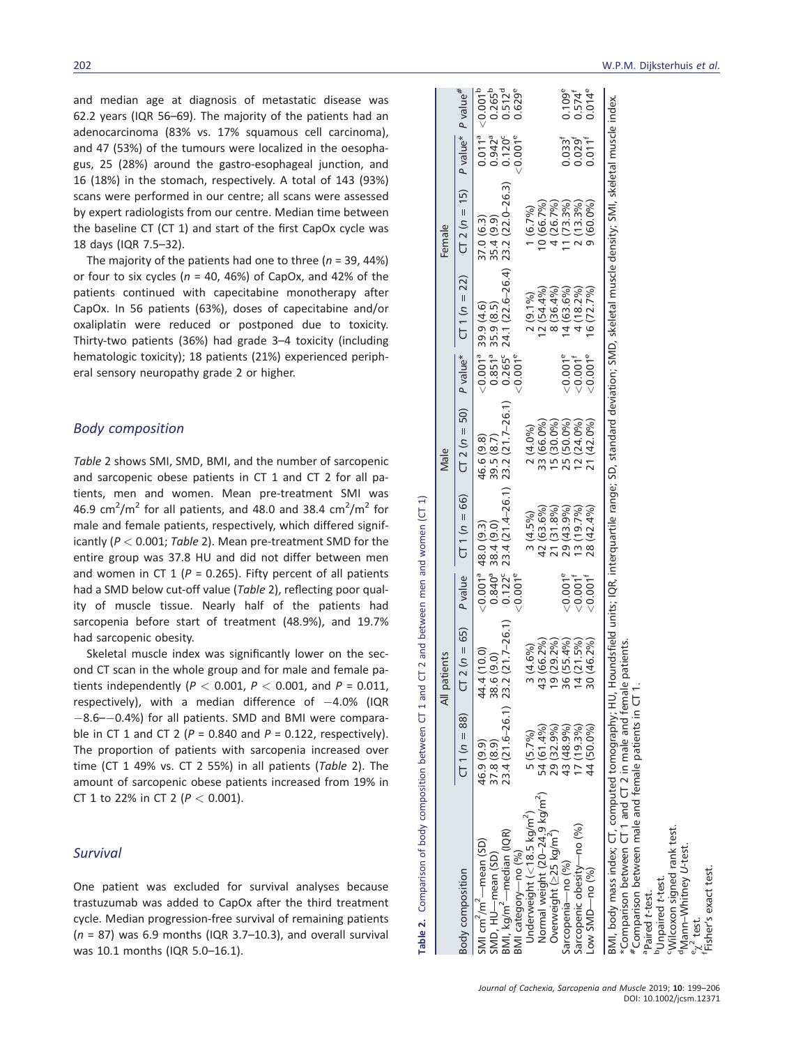and median age at diagnosis of metastatic disease was 62.2 years (IQR 56–69). The majority of the patients had an adenocarcinoma (83% vs. 17% squamous cell carcinoma), and 47 (53%) of the tumours were localized in the oesophagus, 25 (28%) around the gastro-esophageal junction, and 16 (18%) in the stomach, respectively. A total of 143 (93%) scans were performed in our centre; all scans were assessed by expert radiologists from our centre. Median time between the baseline CT (CT 1) and start of the first CapOx cycle was 18 days (IQR 7.5–32).

The majority of the patients had one to three (*n* = 39, 44%) or four to six cycles (*n* = 40, 46%) of CapOx, and 42% of the patients continued with capecitabine monotherapy after CapOx. In 56 patients (63%), doses of capecitabine and/or oxaliplatin were reduced or postponed due to toxicity. Thirty-two patients (36%) had grade 3–4 toxicity (including hematologic toxicity); 18 patients (21%) experienced peripheral sensory neuropathy grade 2 or higher.

### *Body composition*

*Table* 2 shows SMI, SMD, BMI, and the number of sarcopenic and sarcopenic obese patients in CT 1 and CT 2 for all patients, men and women. Mean pre-treatment SMI was 46.9 cm<sup>2</sup>/m<sup>2</sup> for all patients, and 48.0 and 38.4 cm<sup>2</sup>/m<sup>2</sup> for male and female patients, respectively, which differed significantly (*P <* 0.001; *Table* 2). Mean pre-treatment SMD for the entire group was 37.8 HU and did not differ between men and women in CT  $1$  ( $P = 0.265$ ). Fifty percent of all patients had a SMD below cut-off value (*Table* 2), reflecting poor quality of muscle tissue. Nearly half of the patients had sarcopenia before start of treatment (48.9%), and 19.7% had sarcopenic obesity.

Skeletal muscle index was significantly lower on the second CT scan in the whole group and for male and female patients independently (*P <* 0.001, *P <* 0.001, and *P* = 0.011, respectively), with a median difference of  $-4.0\%$  (IQR  $-8.6$ – $-0.4$ %) for all patients. SMD and BMI were comparable in CT 1 and CT 2 (*P* = 0.840 and *P* = 0.122, respectively). The proportion of patients with sarcopenia increased over time (CT 1 49% vs. CT 2 55%) in all patients (*Table* 2). The amount of sarcopenic obese patients increased from 19% in CT 1 to 22% in CT 2 (*P <* 0.001).

#### *Survival*

One patient was excluded for survival analyses because trastuzumab was added to CapOx after the third treatment cycle. Median progression-free survival of remaining patients (*n* = 87) was 6.9 months (IQR 3.7–10.3), and overall survival was 10.1 months (IQR 5.0–16.1).

| ody composition                                           |                                 | $T1(n = 88)$ $CT2(n = 65)$ P value |                                                            | $CT 1 (n = 66)$                                                                    | $CT 2 (n = 50)$ $P value*$ |                                                                                                          | $CT 1 (n = 22)$                                                            | $CT 2 (n = 15)$ P value*                                                      |                                                                                            | P value <sup>#</sup>                                                                                 |
|-----------------------------------------------------------|---------------------------------|------------------------------------|------------------------------------------------------------|------------------------------------------------------------------------------------|----------------------------|----------------------------------------------------------------------------------------------------------|----------------------------------------------------------------------------|-------------------------------------------------------------------------------|--------------------------------------------------------------------------------------------|------------------------------------------------------------------------------------------------------|
| MI cm <sup>2</sup> /m <sup>2</sup> —mean (SD)             | 46.9 (9.9)                      |                                    |                                                            |                                                                                    |                            |                                                                                                          | $(0.0014 39.9 (4.6) 30.8514 35.9 (8.5) 30.2652 24.1 (22.6-26.4) 2<0.0016$  |                                                                               | $\begin{array}{c c}\n\hline\n0.011^a \\ 0.942^a \\ 0.120^c \\ 0.001^e\n\end{array}$        | $\begin{array}{c}\n\hline\n\left(0.001\right)\n\\ 0.265\n\\ 0.512\n\\ 0.629\n\\ \hline\n\end{array}$ |
|                                                           | 87.8 (8.9)                      | 44 4 (10.0)<br>38 6 (9.0)          | $\frac{0.001^a}{0.840^a}$<br>0.840 $\frac{0.122}{0.011^e}$ | 48.0 (9.3) 46.6 (9.8)<br>38.4 (9.0) 39.5 (8.7)<br>23.4 (21.4–26.1) 23.2 (21.7–26.1 |                            |                                                                                                          |                                                                            | $\begin{array}{c} 37.0 (6.3) \\ 35.4 (9.9) \\ 23.2 (22.0 - 26.3) \end{array}$ |                                                                                            |                                                                                                      |
| SMD, HU—mean (SD)<br>3Ml, kg/m <sup>2</sup> —median (IQR) | 23.4 (21.6-26.1) 23.2 (21.7-26. |                                    |                                                            |                                                                                    |                            |                                                                                                          |                                                                            |                                                                               |                                                                                            |                                                                                                      |
| MI category-no (%)                                        |                                 |                                    |                                                            |                                                                                    |                            |                                                                                                          |                                                                            |                                                                               |                                                                                            |                                                                                                      |
| Underweight ( $<$ 18.5 kg/m <sup>2</sup> )                | $5(5.7\%)$                      | 3(4.6%)                            |                                                            | $3(4.5\%)$                                                                         | 2(4.0%)                    |                                                                                                          |                                                                            |                                                                               |                                                                                            |                                                                                                      |
| Normal weight (20-24.9 kg/m <sup>2</sup> )                | 54 (61.4%)                      | 13 (66.2%                          |                                                            |                                                                                    | 33 (66.0%                  |                                                                                                          |                                                                            |                                                                               |                                                                                            |                                                                                                      |
| Dverweight (≥25 kg/m <sup>2</sup> )                       | 29 (32.9%)                      | 9(29.2%                            |                                                            |                                                                                    | $5(30.0\%$                 |                                                                                                          |                                                                            |                                                                               |                                                                                            |                                                                                                      |
| arcopenia-no (%)                                          | 43 (48.9%)                      | 86 (55.4%                          |                                                            | 42 (63.6%)<br>21 (31.8%)<br>29 (43.9%)<br>13 (19.7%)<br>13 (42.4%)                 | 25 (50.0%)                 |                                                                                                          | 2 (9.1%)<br>12 (54.4%)<br>8 (36.4%)<br>8 (3.6%)<br>14 (18.2%)<br>4 (72.7%) | 1 (6.7%)<br>10 (66.7%)<br>4 (26.7%)<br>11 (73.3%)<br>2 (13.3%)<br>2 (60.0%)   | $\begin{array}{c} 0.033^{\mathrm{f}}\ 0.029^{\mathrm{f}}\ 0.011^{\mathrm{f}}\ \end{array}$ |                                                                                                      |
| arcopenic obesity-no (%)                                  | $(7(19.3\%)$                    | 4(21.5%                            | $\frac{1}{20001}$<br>$\frac{1}{20001}$                     |                                                                                    | 12 (24.0%)<br>21 (42.0%)   | $\frac{1}{20}$<br>$\frac{1}{20}$<br>$\frac{1}{20}$<br>$\frac{1}{20}$<br>$\frac{1}{20}$<br>$\frac{1}{20}$ |                                                                            |                                                                               |                                                                                            | $0.109^e$<br>$0.574^e$<br>$0.014^e$                                                                  |
| $\sim$ SMD $\sim$ no $\binom{96}{9}$                      | 44 (50.0%)                      | 80 (46.2%                          |                                                            |                                                                                    |                            |                                                                                                          |                                                                            |                                                                               |                                                                                            |                                                                                                      |

**Table 2.** Comparison of body composition between CT 1 and CT 2 and between men and women (CT 1)

Table 2.

Comparison of body composition between CT 1 and CT 2 and between men and women (CT

patients  $\overline{4}$ 

All patients Male Female

 $\overline{a}$ 

Male

Female

*Journal of Cachexia, Sarcopenia and Muscle* 2019; **10**: 199–206 DOI: 10.1002/jcsm.12371

\*Comparison between CT 1 and CT 2 in male and female patients. #Comparison between male and female patients in CT 1.

Comparison between

Comparison between male and female patients in CT

CT 1 and CT 2 in male and female patients.

Paired *t*-test.<br>'Unpaired *t-*test.<br><u>'</u>Wilcoxon signed rank test.

dMann–Whitney

e $\asymp$  $\sim$ 

 $\chi^{\prime}$  test.<br>Fisher's exact test

*U*-test.

BMI, body mass index; CT, computed tomography; HU, Houndsfield units; IQR, interquartile range; SD, standard deviation; SMD, skeletal muscle density; SMI, skeletal muscle index.

IMI, body mass index; CT, computed tomography; HU, Houndsfield units; IQR, interquartile range; SD, standard deviation; SMD, skeletal muscle density; SMI, skeletal muscle index.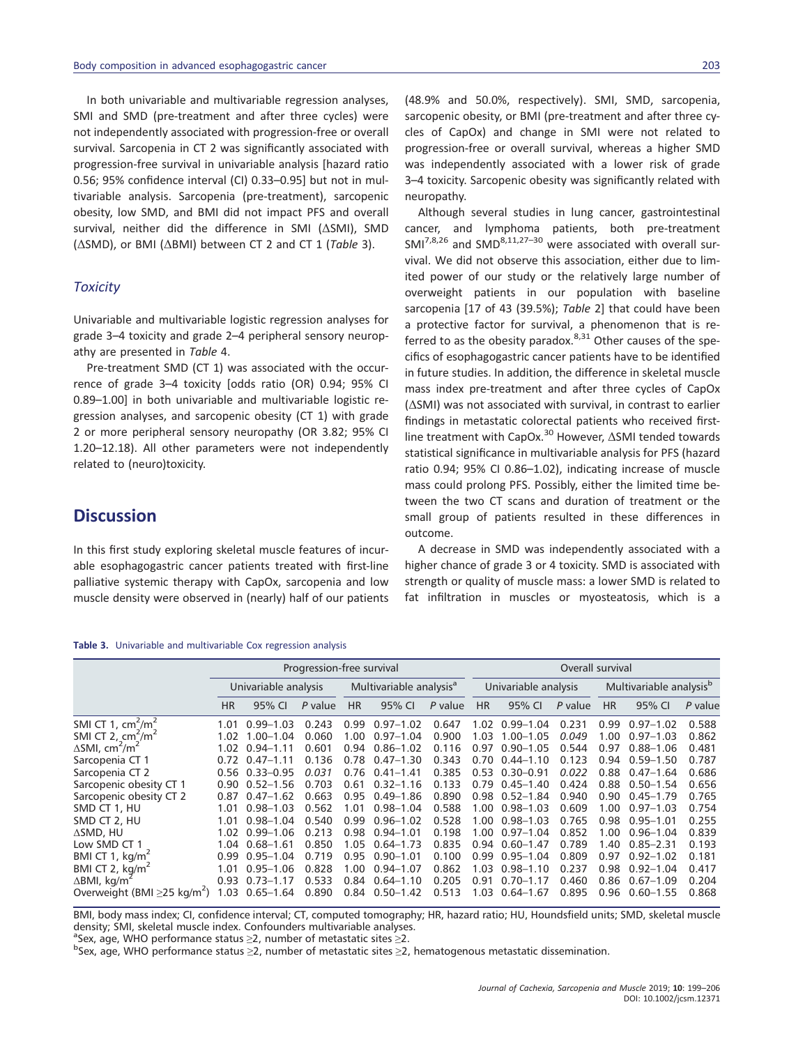In both univariable and multivariable regression analyses, SMI and SMD (pre-treatment and after three cycles) were not independently associated with progression-free or overall survival. Sarcopenia in CT 2 was significantly associated with progression-free survival in univariable analysis [hazard ratio 0.56; 95% confidence interval (CI) 0.33–0.95] but not in multivariable analysis. Sarcopenia (pre-treatment), sarcopenic obesity, low SMD, and BMI did not impact PFS and overall survival, neither did the difference in SMI (ΔSMI), SMD (ΔSMD), or BMI (ΔBMI) between CT 2 and CT 1 (*Table* 3).

#### *Toxicity*

Univariable and multivariable logistic regression analyses for grade 3–4 toxicity and grade 2–4 peripheral sensory neuropathy are presented in *Table* 4.

Pre-treatment SMD (CT 1) was associated with the occurrence of grade 3–4 toxicity [odds ratio (OR) 0.94; 95% CI 0.89–1.00] in both univariable and multivariable logistic regression analyses, and sarcopenic obesity (CT 1) with grade 2 or more peripheral sensory neuropathy (OR 3.82; 95% CI 1.20–12.18). All other parameters were not independently related to (neuro)toxicity.

## **Discussion**

In this first study exploring skeletal muscle features of incurable esophagogastric cancer patients treated with first-line palliative systemic therapy with CapOx, sarcopenia and low muscle density were observed in (nearly) half of our patients

#### **Table 3.** Univariable and multivariable Cox regression analysis

|                                               |           |                      | Progression-free survival |           |                                     |         | Overall survival |                      |         |           |                                     |         |
|-----------------------------------------------|-----------|----------------------|---------------------------|-----------|-------------------------------------|---------|------------------|----------------------|---------|-----------|-------------------------------------|---------|
|                                               |           | Univariable analysis |                           |           | Multivariable analysis <sup>a</sup> |         |                  | Univariable analysis |         |           | Multivariable analysis <sup>b</sup> |         |
|                                               | <b>HR</b> | 95% CI               | P value                   | <b>HR</b> | 95% CI                              | P value | <b>HR</b>        | 95% CI               | P value | <b>HR</b> | 95% CI                              | P value |
| SMI CT 1, $cm2/m2$                            | 1.01      | $0.99 - 1.03$        | 0.243                     | 0.99      | $0.97 - 1.02$                       | 0.647   | 1.02             | $0.99 - 1.04$        | 0.231   | 0.99      | $0.97 - 1.02$                       | 0.588   |
| SMI CT 2, $\text{cm}^2/\text{m}^2$            | 1.02      | $1.00 - 1.04$        | 0.060                     | 1.00      | $0.97 - 1.04$                       | 0.900   | 1.03             | $1.00 - 1.05$        | 0.049   | 1.00      | $0.97 - 1.03$                       | 0.862   |
| $\Delta$ SMI, cm <sup>2</sup> /m <sup>2</sup> | 1.02      | $0.94 - 1.11$        | 0.601                     | 0.94      | $0.86 - 1.02$                       | 0.116   | 0.97             | $0.90 - 1.05$        | 0.544   | 0.97      | $0.88 - 1.06$                       | 0.481   |
| Sarcopenia CT 1                               |           | $0.72$ $0.47-1.11$   | 0.136                     | 0.78      | $0.47 - 1.30$                       | 0.343   | 0.70             | $0.44 - 1.10$        | 0.123   | 0.94      | $0.59 - 1.50$                       | 0.787   |
| Sarcopenia CT 2                               |           | $0.56$ $0.33 - 0.95$ | 0.031                     | 0.76      | $0.41 - 1.41$                       | 0.385   | 0.53             | $0.30 - 0.91$        | 0.022   | 0.88      | $0.47 - 1.64$                       | 0.686   |
| Sarcopenic obesity CT 1                       | 0.90      | $0.52 - 1.56$        | 0.703                     | 0.61      | $0.32 - 1.16$                       | 0.133   | 0.79             | $0.45 - 1.40$        | 0.424   | 0.88      | $0.50 - 1.54$                       | 0.656   |
| Sarcopenic obesity CT 2                       | 0.87      | $0.47 - 1.62$        | 0.663                     | 0.95      | $0.49 - 1.86$                       | 0.890   | 0.98             | $0.52 - 1.84$        | 0.940   | 0.90      | $0.45 - 1.79$                       | 0.765   |
| SMD CT 1, HU                                  | 1.01      | $0.98 - 1.03$        | 0.562                     | 1.01      | $0.98 - 1.04$                       | 0.588   | 1.00             | $0.98 - 1.03$        | 0.609   | 1.00      | $0.97 - 1.03$                       | 0.754   |
| SMD CT 2, HU                                  | 1.01      | $0.98 - 1.04$        | 0.540                     | 0.99      | $0.96 - 1.02$                       | 0.528   | 1.00             | $0.98 - 1.03$        | 0.765   | 0.98      | $0.95 - 1.01$                       | 0.255   |
| ∆SMD, HU                                      | 1.02      | $0.99 - 1.06$        | 0.213                     | 0.98      | $0.94 - 1.01$                       | 0.198   | 1.00             | $0.97 - 1.04$        | 0.852   | 1.00      | $0.96 - 1.04$                       | 0.839   |
| Low SMD CT 1                                  | 1.04      | $0.68 - 1.61$        | 0.850                     | 1.05      | $0.64 - 1.73$                       | 0.835   | 0.94             | $0.60 - 1.47$        | 0.789   | 1.40      | $0.85 - 2.31$                       | 0.193   |
| BMI CT 1, $kg/m2$                             | 0.99      | $0.95 - 1.04$        | 0.719                     | 0.95      | $0.90 - 1.01$                       | 0.100   | 0.99             | $0.95 - 1.04$        | 0.809   | 0.97      | $0.92 - 1.02$                       | 0.181   |
| BMI CT 2, $kg/m2$                             | 1.01      | $0.95 - 1.06$        | 0.828                     | 1.00      | $0.94 - 1.07$                       | 0.862   | 1.03             | $0.98 - 1.10$        | 0.237   | 0.98      | $0.92 - 1.04$                       | 0.417   |
| $\Delta$ BMI, kg/m <sup>2</sup>               | 0.93      | $0.73 - 1.17$        | 0.533                     | 0.84      | $0.64 - 1.10$                       | 0.205   | 0.91             | $0.70 - 1.17$        | 0.460   | 0.86      | $0.67 - 1.09$                       | 0.204   |
| Overweight (BMI $\geq$ 25 kg/m <sup>2</sup> ) | 1.03      | $0.65 - 1.64$        | 0.890                     | 0.84      | $0.50 - 1.42$                       | 0.513   | 1.03             | $0.64 - 1.67$        | 0.895   | 0.96      | $0.60 - 1.55$                       | 0.868   |
|                                               |           |                      |                           |           |                                     |         |                  |                      |         |           |                                     |         |

BMI, body mass index; CI, confidence interval; CT, computed tomography; HR, hazard ratio; HU, Houndsfield units; SMD, skeletal muscle density; SMI, skeletal muscle index. Confounders multivariable analyses.

 $a^3$ Sex, age, WHO performance status  $\geq 2$ , number of metastatic sites  $\geq 2$ .<br> $b^3$ Sex, age, WHO performance status  $\geq 2$ , number of metastatic sites  $\geq 2$ .

<sup>b</sup>Sex, age, WHO performance status ≥2, number of metastatic sites ≥2, hematogenous metastatic dissemination.

(48.9% and 50.0%, respectively). SMI, SMD, sarcopenia, sarcopenic obesity, or BMI (pre-treatment and after three cycles of CapOx) and change in SMI were not related to progression-free or overall survival, whereas a higher SMD was independently associated with a lower risk of grade 3–4 toxicity. Sarcopenic obesity was significantly related with neuropathy.

Although several studies in lung cancer, gastrointestinal cancer, and lymphoma patients, both pre-treatment  $SMI^{7,8,26}$  and  $SMD^{8,11,27-30}$  were associated with overall survival. We did not observe this association, either due to limited power of our study or the relatively large number of overweight patients in our population with baseline sarcopenia [17 of 43 (39.5%); *Table* 2] that could have been a protective factor for survival, a phenomenon that is referred to as the obesity paradox. $8,31$  Other causes of the specifics of esophagogastric cancer patients have to be identified in future studies. In addition, the difference in skeletal muscle mass index pre-treatment and after three cycles of CapOx (ΔSMI) was not associated with survival, in contrast to earlier findings in metastatic colorectal patients who received firstline treatment with CapOx.<sup>30</sup> However, ΔSMI tended towards statistical significance in multivariable analysis for PFS (hazard ratio 0.94; 95% CI 0.86–1.02), indicating increase of muscle mass could prolong PFS. Possibly, either the limited time between the two CT scans and duration of treatment or the small group of patients resulted in these differences in outcome.

A decrease in SMD was independently associated with a higher chance of grade 3 or 4 toxicity. SMD is associated with strength or quality of muscle mass: a lower SMD is related to fat infiltration in muscles or myosteatosis, which is a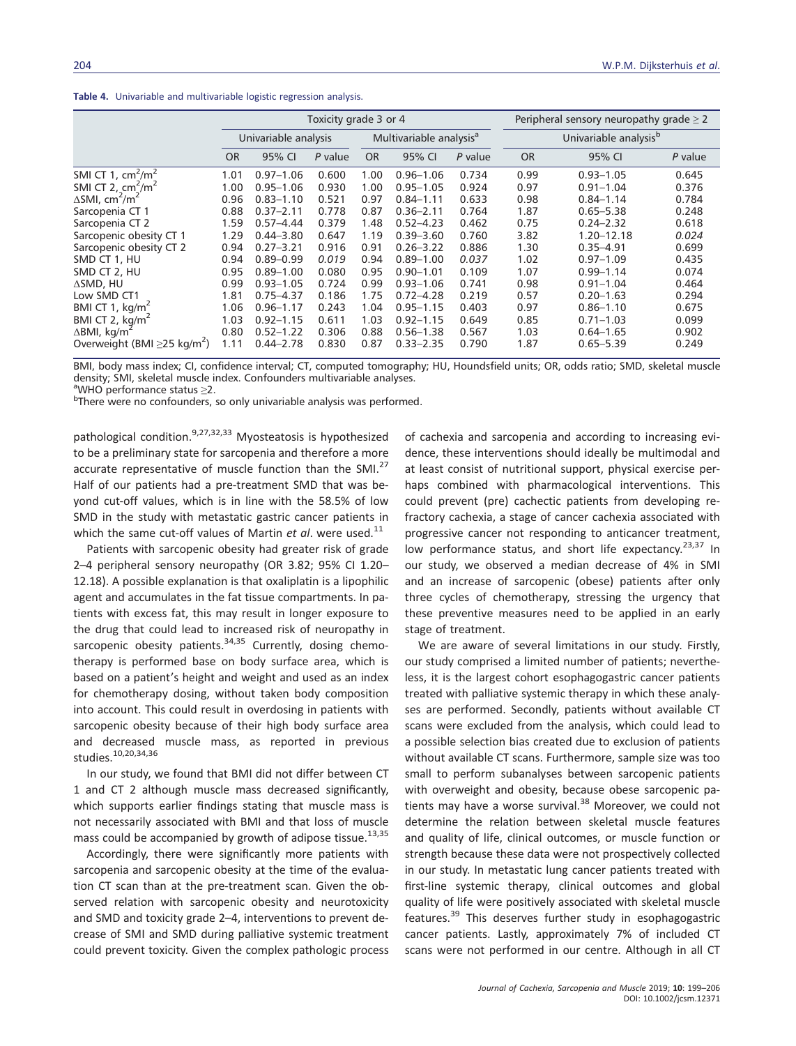**Table 4.** Univariable and multivariable logistic regression analysis.

|                                               |           |                      | Toxicity grade 3 or 4 |           | Peripheral sensory neuropathy grade $\geq 2$ |           |           |                                   |         |  |  |
|-----------------------------------------------|-----------|----------------------|-----------------------|-----------|----------------------------------------------|-----------|-----------|-----------------------------------|---------|--|--|
|                                               |           | Univariable analysis |                       |           | Multivariable analysis <sup>a</sup>          |           |           | Univariable analysis <sup>b</sup> |         |  |  |
|                                               | <b>OR</b> | 95% CI               | P value               | <b>OR</b> | 95% CI                                       | $P$ value | <b>OR</b> | 95% CI                            | P value |  |  |
| SMI CT 1, $\text{cm}^2/\text{m}^2$            | 1.01      | $0.97 - 1.06$        | 0.600                 | 1.00      | $0.96 - 1.06$                                | 0.734     | 0.99      | $0.93 - 1.05$                     | 0.645   |  |  |
| SMI CT 2, $\text{cm}^2/\text{m}^2$            | 1.00      | $0.95 - 1.06$        | 0.930                 | 1.00      | $0.95 - 1.05$                                | 0.924     | 0.97      | $0.91 - 1.04$                     | 0.376   |  |  |
| $\Delta$ SMI, cm <sup>2</sup> /m <sup>2</sup> | 0.96      | $0.83 - 1.10$        | 0.521                 | 0.97      | $0.84 - 1.11$                                | 0.633     | 0.98      | $0.84 - 1.14$                     | 0.784   |  |  |
| Sarcopenia CT 1                               | 0.88      | $0.37 - 2.11$        | 0.778                 | 0.87      | $0.36 - 2.11$                                | 0.764     | 1.87      | $0.65 - 5.38$                     | 0.248   |  |  |
| Sarcopenia CT 2                               | 1.59      | $0.57 - 4.44$        | 0.379                 | 1.48      | $0.52 - 4.23$                                | 0.462     | 0.75      | $0.24 - 2.32$                     | 0.618   |  |  |
| Sarcopenic obesity CT 1                       | 1.29      | $0.44 - 3.80$        | 0.647                 | 1.19      | $0.39 - 3.60$                                | 0.760     | 3.82      | 1.20-12.18                        | 0.024   |  |  |
| Sarcopenic obesity CT 2                       | 0.94      | $0.27 - 3.21$        | 0.916                 | 0.91      | $0.26 - 3.22$                                | 0.886     | 1.30      | $0.35 - 4.91$                     | 0.699   |  |  |
| SMD CT 1, HU                                  | 0.94      | $0.89 - 0.99$        | 0.019                 | 0.94      | $0.89 - 1.00$                                | 0.037     | 1.02      | $0.97 - 1.09$                     | 0.435   |  |  |
| SMD CT 2, HU                                  | 0.95      | $0.89 - 1.00$        | 0.080                 | 0.95      | $0.90 - 1.01$                                | 0.109     | 1.07      | $0.99 - 1.14$                     | 0.074   |  |  |
| $\Delta$ SMD, HU                              | 0.99      | $0.93 - 1.05$        | 0.724                 | 0.99      | $0.93 - 1.06$                                | 0.741     | 0.98      | $0.91 - 1.04$                     | 0.464   |  |  |
| Low SMD CT1                                   | 1.81      | $0.75 - 4.37$        | 0.186                 | 1.75      | $0.72 - 4.28$                                | 0.219     | 0.57      | $0.20 - 1.63$                     | 0.294   |  |  |
| BMI CT 1, $kg/m2$                             | 1.06      | $0.96 - 1.17$        | 0.243                 | 1.04      | $0.95 - 1.15$                                | 0.403     | 0.97      | $0.86 - 1.10$                     | 0.675   |  |  |
| BMI CT 2, kg/m <sup>2</sup>                   | 1.03      | $0.92 - 1.15$        | 0.611                 | 1.03      | $0.92 - 1.15$                                | 0.649     | 0.85      | $0.71 - 1.03$                     | 0.099   |  |  |
| $\Delta$ BMI, kg/m <sup>2</sup>               | 0.80      | $0.52 - 1.22$        | 0.306                 | 0.88      | $0.56 - 1.38$                                | 0.567     | 1.03      | $0.64 - 1.65$                     | 0.902   |  |  |
| Overweight (BMI $\geq$ 25 kg/m <sup>2</sup> ) | 1.11      | $0.44 - 2.78$        | 0.830                 | 0.87      | $0.33 - 2.35$                                | 0.790     | 1.87      | $0.65 - 5.39$                     | 0.249   |  |  |

BMI, body mass index; CI, confidence interval; CT, computed tomography; HU, Houndsfield units; OR, odds ratio; SMD, skeletal muscle density; SMI, skeletal muscle index. Confounders multivariable analyses.

<sup>a</sup>WHO performance status >2.

<sup>a</sup>WHO performance status ≥2.<br><sup>b</sup>There were no confounders, so only univariable analysis was performed.

pathological condition.<sup>9,27,32,33</sup> Myosteatosis is hypothesized to be a preliminary state for sarcopenia and therefore a more accurate representative of muscle function than the SMI.<sup>27</sup> Half of our patients had a pre-treatment SMD that was beyond cut-off values, which is in line with the 58.5% of low SMD in the study with metastatic gastric cancer patients in which the same cut-off values of Martin *et al*. were used.<sup>11</sup>

Patients with sarcopenic obesity had greater risk of grade 2–4 peripheral sensory neuropathy (OR 3.82; 95% CI 1.20– 12.18). A possible explanation is that oxaliplatin is a lipophilic agent and accumulates in the fat tissue compartments. In patients with excess fat, this may result in longer exposure to the drug that could lead to increased risk of neuropathy in sarcopenic obesity patients. $34,35$  Currently, dosing chemotherapy is performed base on body surface area, which is based on a patient's height and weight and used as an index for chemotherapy dosing, without taken body composition into account. This could result in overdosing in patients with sarcopenic obesity because of their high body surface area and decreased muscle mass, as reported in previous studies.10,20,34,36

In our study, we found that BMI did not differ between CT 1 and CT 2 although muscle mass decreased significantly, which supports earlier findings stating that muscle mass is not necessarily associated with BMI and that loss of muscle mass could be accompanied by growth of adipose tissue.<sup>13,35</sup>

Accordingly, there were significantly more patients with sarcopenia and sarcopenic obesity at the time of the evaluation CT scan than at the pre-treatment scan. Given the observed relation with sarcopenic obesity and neurotoxicity and SMD and toxicity grade 2–4, interventions to prevent decrease of SMI and SMD during palliative systemic treatment could prevent toxicity. Given the complex pathologic process of cachexia and sarcopenia and according to increasing evidence, these interventions should ideally be multimodal and at least consist of nutritional support, physical exercise perhaps combined with pharmacological interventions. This could prevent (pre) cachectic patients from developing refractory cachexia, a stage of cancer cachexia associated with progressive cancer not responding to anticancer treatment, low performance status, and short life expectancy.<sup>23,37</sup> In our study, we observed a median decrease of 4% in SMI and an increase of sarcopenic (obese) patients after only three cycles of chemotherapy, stressing the urgency that these preventive measures need to be applied in an early stage of treatment.

We are aware of several limitations in our study. Firstly, our study comprised a limited number of patients; nevertheless, it is the largest cohort esophagogastric cancer patients treated with palliative systemic therapy in which these analyses are performed. Secondly, patients without available CT scans were excluded from the analysis, which could lead to a possible selection bias created due to exclusion of patients without available CT scans. Furthermore, sample size was too small to perform subanalyses between sarcopenic patients with overweight and obesity, because obese sarcopenic patients may have a worse survival.<sup>38</sup> Moreover, we could not determine the relation between skeletal muscle features and quality of life, clinical outcomes, or muscle function or strength because these data were not prospectively collected in our study. In metastatic lung cancer patients treated with first-line systemic therapy, clinical outcomes and global quality of life were positively associated with skeletal muscle features.<sup>39</sup> This deserves further study in esophagogastric cancer patients. Lastly, approximately 7% of included CT scans were not performed in our centre. Although in all CT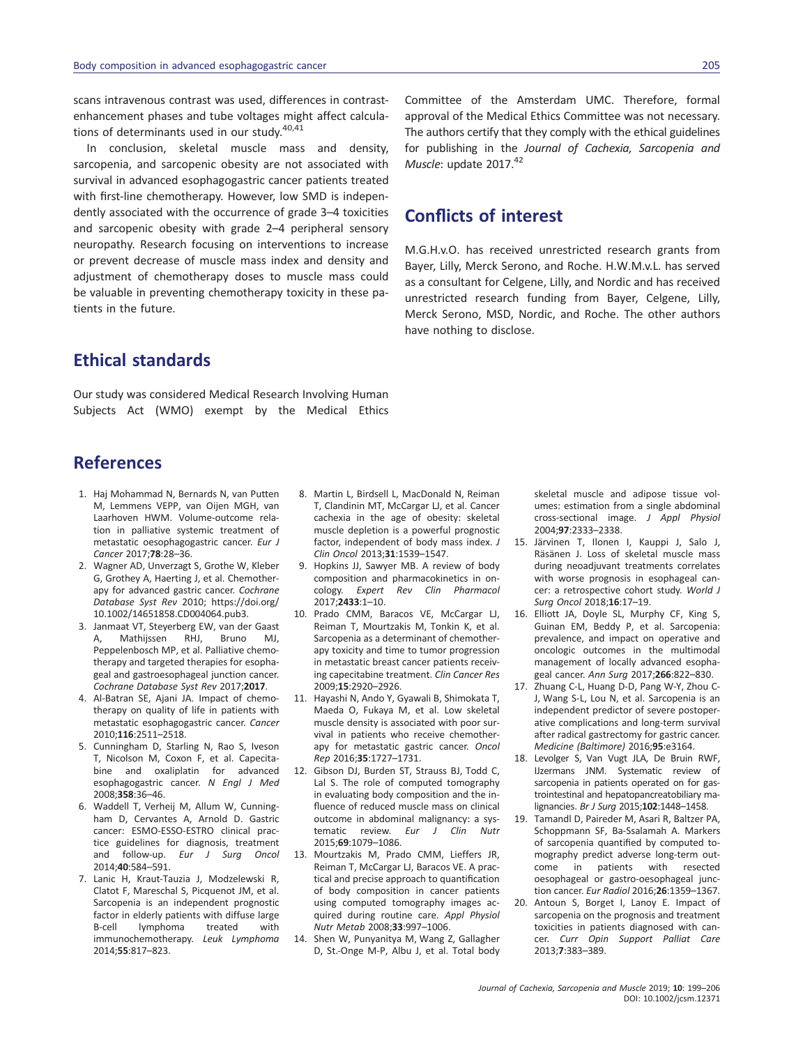scans intravenous contrast was used, differences in contrastenhancement phases and tube voltages might affect calculations of determinants used in our study.<sup>40,41</sup>

In conclusion, skeletal muscle mass and density, sarcopenia, and sarcopenic obesity are not associated with survival in advanced esophagogastric cancer patients treated with first-line chemotherapy. However, low SMD is independently associated with the occurrence of grade 3–4 toxicities and sarcopenic obesity with grade 2–4 peripheral sensory neuropathy. Research focusing on interventions to increase or prevent decrease of muscle mass index and density and adjustment of chemotherapy doses to muscle mass could be valuable in preventing chemotherapy toxicity in these patients in the future.

Committee of the Amsterdam UMC. Therefore, formal approval of the Medical Ethics Committee was not necessary. The authors certify that they comply with the ethical guidelines for publishing in the *Journal of Cachexia, Sarcopenia and Muscle*: update 2017.<sup>42</sup>

# **Conflicts of interest**

M.G.H.v.O. has received unrestricted research grants from Bayer, Lilly, Merck Serono, and Roche. H.W.M.v.L. has served as a consultant for Celgene, Lilly, and Nordic and has received unrestricted research funding from Bayer, Celgene, Lilly, Merck Serono, MSD, Nordic, and Roche. The other authors have nothing to disclose.

# **Ethical standards**

Our study was considered Medical Research Involving Human Subjects Act (WMO) exempt by the Medical Ethics

# **References**

- 1. Haj Mohammad N, Bernards N, van Putten M, Lemmens VEPP, van Oijen MGH, van Laarhoven HWM. Volume-outcome relation in palliative systemic treatment of metastatic oesophagogastric cancer. *Eur J Cancer* 2017;**78**:28–36.
- 2. Wagner AD, Unverzagt S, Grothe W, Kleber G, Grothey A, Haerting J, et al. Chemotherapy for advanced gastric cancer. *Cochrane Database Syst Rev* 2010; [https://doi.org/](https://doi.org/10.1002/14651858.CD004064.pub3.) [10.1002/14651858.CD004064.pub3.](https://doi.org/10.1002/14651858.CD004064.pub3.)
- 3. Janmaat VT, Steyerberg EW, van der Gaast A, Mathijssen RHJ, Bruno MJ, Peppelenbosch MP, et al. Palliative chemotherapy and targeted therapies for esophageal and gastroesophageal junction cancer. *Cochrane Database Syst Rev* 2017;**2017**.
- 4. Al-Batran SE, Ajani JA. Impact of chemotherapy on quality of life in patients with metastatic esophagogastric cancer. *Cancer* 2010;**116**:2511–2518.
- 5. Cunningham D, Starling N, Rao S, Iveson T, Nicolson M, Coxon F, et al. Capecitabine and oxaliplatin for advanced esophagogastric cancer. *N Engl J Med* 2008;**358**:36–46.
- 6. Waddell T, Verheij M, Allum W, Cunningham D, Cervantes A, Arnold D. Gastric cancer: ESMO-ESSO-ESTRO clinical practice guidelines for diagnosis, treatment and follow-up. *Eur J Surg Oncol* 2014;**40**:584–591.
- 7. Lanic H, Kraut-Tauzia J, Modzelewski R, Clatot F, Mareschal S, Picquenot JM, et al. Sarcopenia is an independent prognostic factor in elderly patients with diffuse large B-cell lymphoma treated with immunochemotherapy. *Leuk Lymphoma* 2014;**55**:817–823.
- 8. Martin L, Birdsell L, MacDonald N, Reiman T, Clandinin MT, McCargar LJ, et al. Cancer cachexia in the age of obesity: skeletal muscle depletion is a powerful prognostic factor, independent of body mass index. *J Clin Oncol* 2013;**31**:1539–1547.
- 9. Hopkins JJ, Sawyer MB. A review of body composition and pharmacokinetics in oncology. *Expert Rev Clin Pharmacol* 2017;**2433**:1–10.
- 10. Prado CMM, Baracos VE, McCargar LJ, Reiman T, Mourtzakis M, Tonkin K, et al. Sarcopenia as a determinant of chemotherapy toxicity and time to tumor progression in metastatic breast cancer patients receiving capecitabine treatment. *Clin Cancer Res* 2009;**15**:2920–2926.
- 11. Hayashi N, Ando Y, Gyawali B, Shimokata T, Maeda O, Fukaya M, et al. Low skeletal muscle density is associated with poor survival in patients who receive chemotherapy for metastatic gastric cancer. *Oncol Rep* 2016;**35**:1727–1731.
- 12. Gibson DJ, Burden ST, Strauss BJ, Todd C, Lal S. The role of computed tomography in evaluating body composition and the influence of reduced muscle mass on clinical outcome in abdominal malignancy: a systematic review. *Eur J Clin Nutr* 2015;**69**:1079–1086.
- 13. Mourtzakis M, Prado CMM, Lieffers JR, Reiman T, McCargar LJ, Baracos VE. A practical and precise approach to quantification of body composition in cancer patients using computed tomography images acquired during routine care. *Appl Physiol Nutr Metab* 2008;**33**:997–1006.
- 14. Shen W, Punyanitya M, Wang Z, Gallagher D, St.-Onge M-P, Albu J, et al. Total body

skeletal muscle and adipose tissue volumes: estimation from a single abdominal cross-sectional image. *J Appl Physiol* 2004;**97**:2333–2338.

- 15. Järvinen T, Ilonen I, Kauppi J, Salo J, Räsänen J. Loss of skeletal muscle mass during neoadjuvant treatments correlates with worse prognosis in esophageal cancer: a retrospective cohort study. *World J Surg Oncol* 2018;**16**:17–19.
- 16. Elliott JA, Doyle SL, Murphy CF, King S, Guinan EM, Beddy P, et al. Sarcopenia: prevalence, and impact on operative and oncologic outcomes in the multimodal management of locally advanced esophageal cancer. *Ann Surg* 2017;**266**:822–830.
- 17. Zhuang C-L, Huang D-D, Pang W-Y, Zhou C-J, Wang S-L, Lou N, et al. Sarcopenia is an independent predictor of severe postoperative complications and long-term survival after radical gastrectomy for gastric cancer. *Medicine (Baltimore)* 2016;**95**:e3164.
- 18. Levolger S, Van Vugt JLA, De Bruin RWF, IJzermans JNM. Systematic review of sarcopenia in patients operated on for gastrointestinal and hepatopancreatobiliary malignancies. *Br J Surg* 2015;**102**:1448–1458.
- 19. Tamandl D, Paireder M, Asari R, Baltzer PA, Schoppmann SF, Ba-Ssalamah A. Markers of sarcopenia quantified by computed tomography predict adverse long-term outcome in patients with resected oesophageal or gastro-oesophageal junction cancer. *Eur Radiol* 2016;**26**:1359–1367.
- 20. Antoun S, Borget I, Lanoy E. Impact of sarcopenia on the prognosis and treatment toxicities in patients diagnosed with cancer. *Curr Opin Support Palliat Care* 2013;**7**:383–389.